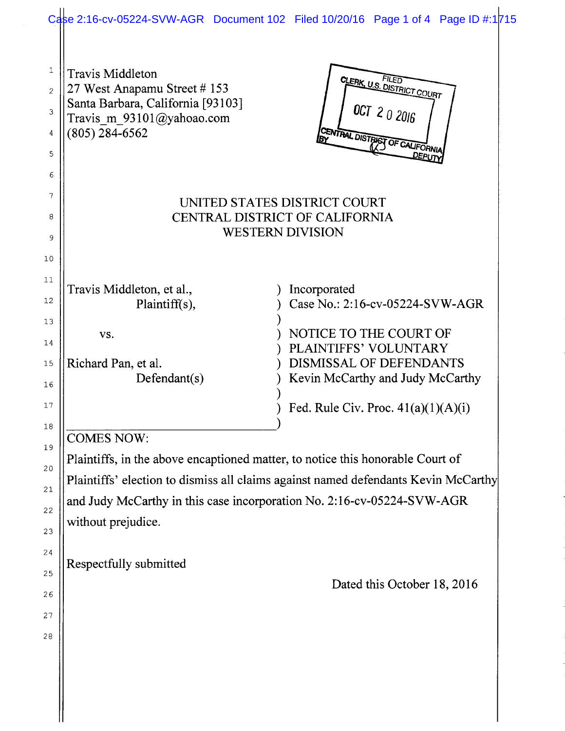|                                                   | Case 2:16-cv-05224-SVW-AGR Document 102 Filed 10/20/16 Page 1 of 4 Page ID #:1715                                                                                                                                                                                                                                   |  |                                                                                                                                                                                                            |                                                                                     |  |
|---------------------------------------------------|---------------------------------------------------------------------------------------------------------------------------------------------------------------------------------------------------------------------------------------------------------------------------------------------------------------------|--|------------------------------------------------------------------------------------------------------------------------------------------------------------------------------------------------------------|-------------------------------------------------------------------------------------|--|
| $\mathbf 1$<br>$\overline{2}$<br>3<br>4<br>5<br>6 | Travis Middleton<br>27 West Anapamu Street # 153<br>Santa Barbara, California [93103]<br>Travis m $93101$ ( $\partial$ yahoao.com<br>$(805)$ 284-6562                                                                                                                                                               |  |                                                                                                                                                                                                            | <b>CLERK, U.S. DISTRICT COURT</b><br>OCT 2 0 2016<br>CENTRAL DISTRICT OF CALIFORNIA |  |
| 7<br>8<br>9<br>10                                 | UNITED STATES DISTRICT COURT<br><b>CENTRAL DISTRICT OF CALIFORNIA</b><br><b>WESTERN DIVISION</b>                                                                                                                                                                                                                    |  |                                                                                                                                                                                                            |                                                                                     |  |
| 11<br>12<br>13<br>14<br>15<br>16<br>17<br>18      | Travis Middleton, et al.,<br>Plaintiff(s),<br>VS.<br>Richard Pan, et al.<br>Defendant(s)                                                                                                                                                                                                                            |  | Incorporated<br>Case No.: 2:16-cv-05224-SVW-AGR<br>NOTICE TO THE COURT OF<br>PLAINTIFFS' VOLUNTARY<br>DISMISSAL OF DEFENDANTS<br>Kevin McCarthy and Judy McCarthy<br>Fed. Rule Civ. Proc. $41(a)(1)(A)(i)$ |                                                                                     |  |
| 19<br>20<br>21<br>22<br>23<br>24<br>25<br>26      | <b>COMES NOW:</b><br>Plaintiffs, in the above encaptioned matter, to notice this honorable Court of<br>Plaintiffs' election to dismiss all claims against named defendants Kevin McCarthy<br>and Judy McCarthy in this case incorporation No. 2:16-cv-05224-SVW-AGR<br>without prejudice.<br>Respectfully submitted |  |                                                                                                                                                                                                            | Dated this October 18, 2016                                                         |  |
| 27<br>28                                          |                                                                                                                                                                                                                                                                                                                     |  |                                                                                                                                                                                                            |                                                                                     |  |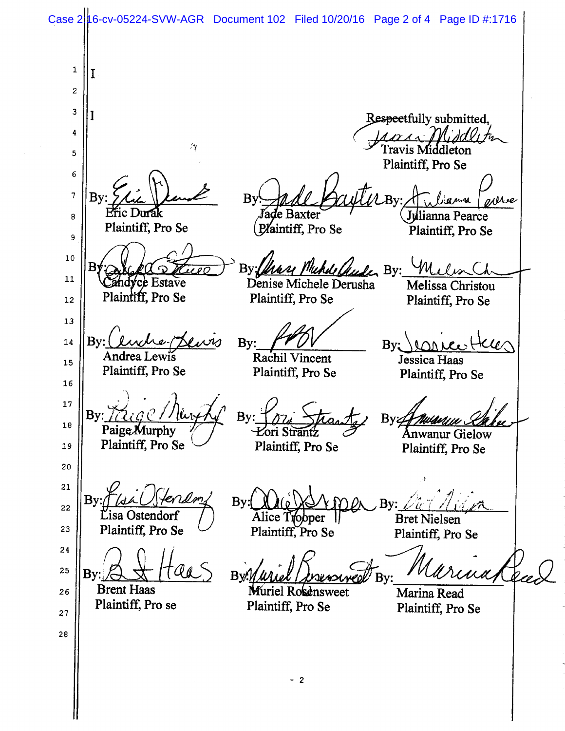Case 2 16-cv-05224-SVW-AGR Document 102 Filed 10/20/16 Page 2 of 4 Page ID #:1716

 $\mathbf{1}$ I  $\boldsymbol{2}$  $\mathbf{3}$ Respectfully submitted,<br>*Laurea Middl*, to  $\pmb{4}$  $1 -$ Travis Middleton 5 Plaintiff, Pro Se 6 t.  $\overline{7}$ By: The Vent By: Mal Prull By: Mullann oshve Pric Durak<br>
Plaintiff, Pro Se (Plaintiff, Pro Se Plaintiff, Pro Se 8 Plaintiff, Pro Se  $\boldsymbol{9}$ <sup>~</sup>o By: Chase Muhde Chuder By: Milisa  $\Omega$ <u>iceo</u>  $11\,$ Candyce Estave Denise Michele Derusha Melissa Christou<br>Plaintiff, Pro Se Plaintiff, Pro Se Plaintiff. Pro Se Plaintiff, Pro Se 12 13  $By: (luche-$ By:  $Ker$ 14  $By: \Omega \neq \emptyset$ Andrea Lewis Rachil Vincent Jessica Haas 15 Plaintiff, Pro Se Plaintiff, Pro Se Plaintiff, Pro Se 16 ~~ A ~~ $\mathbf{B} \mathbf{y}$ : By  $\pi$  Thants i<sup>e</sup> Paige Murphy Anwanur Gielow 0 Plaintiff, Pro Se Plaintiff, Pro Se 19 Plaintiff, Pro Se 20 <sup>z</sup>1  $^{\prime}$   $\prime$ Tendr  $Bv:$  $By:$ By: <sup>z</sup>2  $\alpha \not\equiv \alpha$ Lisa Ostendorf Alice Tropper | Bret Nielsen<br>Plaintiff, Pro Se Plaintiff, Pro Plaintiff, Pro Se 23 Plaintiff, Pro Se 24 armated 25  $\sim$ ~ ~~ ~~ ~~ ~~ Byr<u>n Wuel (Noewswer</u>d By: **Brent Haas** Muriel Rosensweet Marina Read<br>Plaintiff, Pro Se Plaintiff. Pro 26 Plaintiff, Pro se Plaintiff, Pro Se z<sup>~</sup> as — 2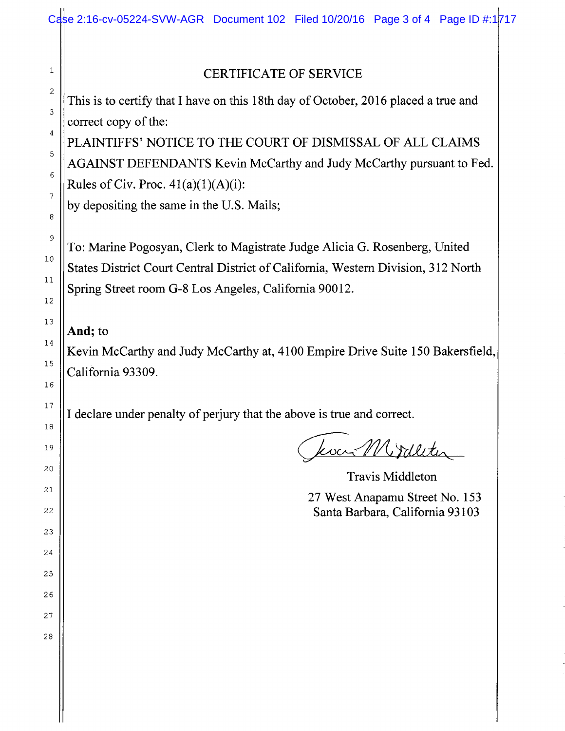## CERTIFICATE OF SERVICE

This is to certify that I have on this 18th day of October, 2016 placed a true and correct copy of the:

PLAINTIFFS' NOTICE TO THE COURT OF DISMISSAL OF ALL CLAIMS AGAINST DEFENDANTS Kevin McCarthy and Judy McCarthy pursuant to Fed. Rules of Civ. Proc.  $41(a)(1)(A)(i)$ :

by depositing the same in the U.S. Mails;

To: Marine Pogosyan, Clerk to Magistrate Judge Alicia G. Rosenberg, United States District Court Central District of California, Western Division, 312 North Spring Street room G-8 Los Angeles, California 90012.

## And; to

Kevin McCarthy and Judy McCarthy at, 4100 Empire Drive Suite 150 Bakersfield, California 93309.

I declare under penalty of perjury that the above is true and correct.

koa Mirdleter

Travis Middleton 27 West Anapamu Street No. 153 Santa. Barbara, California 93103